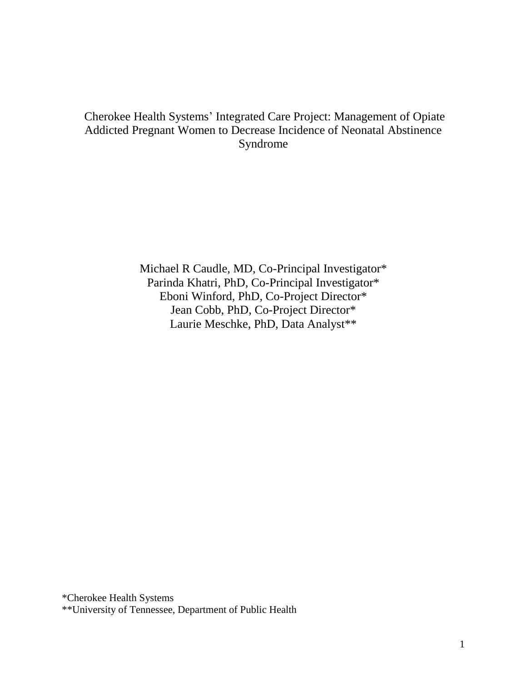### Cherokee Health Systems' Integrated Care Project: Management of Opiate Addicted Pregnant Women to Decrease Incidence of Neonatal Abstinence Syndrome

Michael R Caudle, MD, Co-Principal Investigator\* Parinda Khatri, PhD, Co-Principal Investigator\* Eboni Winford, PhD, Co-Project Director\* Jean Cobb, PhD, Co-Project Director\* Laurie Meschke, PhD, Data Analyst\*\*

\*Cherokee Health Systems

\*\*University of Tennessee, Department of Public Health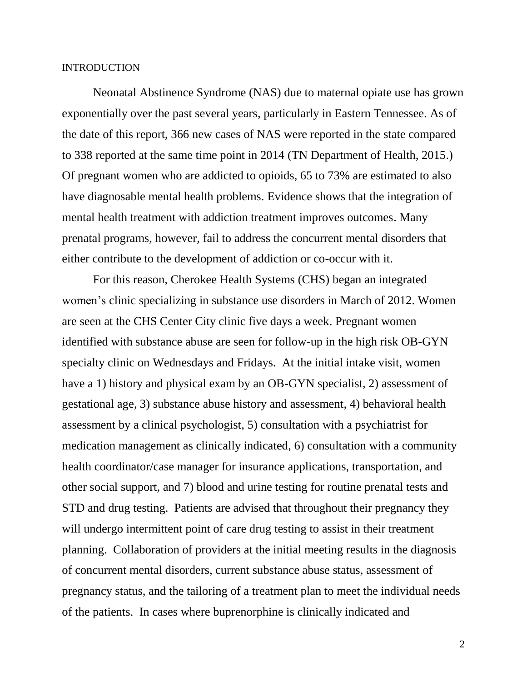#### **INTRODUCTION**

Neonatal Abstinence Syndrome (NAS) due to maternal opiate use has grown exponentially over the past several years, particularly in Eastern Tennessee. As of the date of this report, 366 new cases of NAS were reported in the state compared to 338 reported at the same time point in 2014 (TN Department of Health, 2015.) Of pregnant women who are addicted to opioids, 65 to 73% are estimated to also have diagnosable mental health problems. Evidence shows that the integration of mental health treatment with addiction treatment improves outcomes. Many prenatal programs, however, fail to address the concurrent mental disorders that either contribute to the development of addiction or co-occur with it.

For this reason, Cherokee Health Systems (CHS) began an integrated women's clinic specializing in substance use disorders in March of 2012. Women are seen at the CHS Center City clinic five days a week. Pregnant women identified with substance abuse are seen for follow-up in the high risk OB-GYN specialty clinic on Wednesdays and Fridays. At the initial intake visit, women have a 1) history and physical exam by an OB-GYN specialist, 2) assessment of gestational age, 3) substance abuse history and assessment, 4) behavioral health assessment by a clinical psychologist, 5) consultation with a psychiatrist for medication management as clinically indicated, 6) consultation with a community health coordinator/case manager for insurance applications, transportation, and other social support, and 7) blood and urine testing for routine prenatal tests and STD and drug testing. Patients are advised that throughout their pregnancy they will undergo intermittent point of care drug testing to assist in their treatment planning. Collaboration of providers at the initial meeting results in the diagnosis of concurrent mental disorders, current substance abuse status, assessment of pregnancy status, and the tailoring of a treatment plan to meet the individual needs of the patients. In cases where buprenorphine is clinically indicated and

2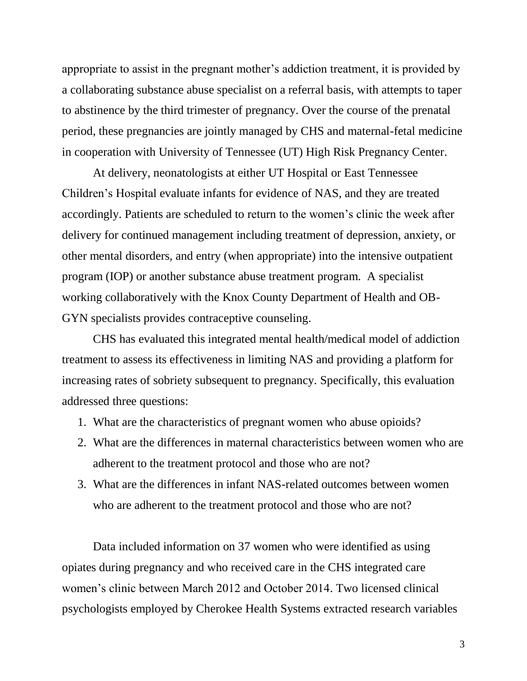appropriate to assist in the pregnant mother's addiction treatment, it is provided by a collaborating substance abuse specialist on a referral basis, with attempts to taper to abstinence by the third trimester of pregnancy. Over the course of the prenatal period, these pregnancies are jointly managed by CHS and maternal-fetal medicine in cooperation with University of Tennessee (UT) High Risk Pregnancy Center.

At delivery, neonatologists at either UT Hospital or East Tennessee Children's Hospital evaluate infants for evidence of NAS, and they are treated accordingly. Patients are scheduled to return to the women's clinic the week after delivery for continued management including treatment of depression, anxiety, or other mental disorders, and entry (when appropriate) into the intensive outpatient program (IOP) or another substance abuse treatment program. A specialist working collaboratively with the Knox County Department of Health and OB-GYN specialists provides contraceptive counseling.

CHS has evaluated this integrated mental health/medical model of addiction treatment to assess its effectiveness in limiting NAS and providing a platform for increasing rates of sobriety subsequent to pregnancy. Specifically, this evaluation addressed three questions:

- 1. What are the characteristics of pregnant women who abuse opioids?
- 2. What are the differences in maternal characteristics between women who are adherent to the treatment protocol and those who are not?
- 3. What are the differences in infant NAS-related outcomes between women who are adherent to the treatment protocol and those who are not?

Data included information on 37 women who were identified as using opiates during pregnancy and who received care in the CHS integrated care women's clinic between March 2012 and October 2014. Two licensed clinical psychologists employed by Cherokee Health Systems extracted research variables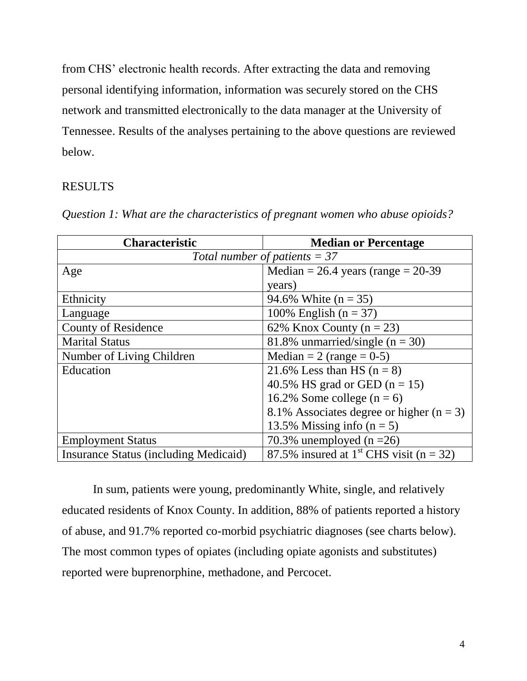from CHS' electronic health records. After extracting the data and removing personal identifying information, information was securely stored on the CHS network and transmitted electronically to the data manager at the University of Tennessee. Results of the analyses pertaining to the above questions are reviewed below.

### RESULTS

| <b>Characteristic</b>                        | <b>Median or Percentage</b>                             |  |
|----------------------------------------------|---------------------------------------------------------|--|
| Total number of patients $=$ 37              |                                                         |  |
| Age                                          | Median = $26.4$ years (range = $20-39$ )                |  |
|                                              | years)                                                  |  |
| Ethnicity                                    | 94.6% White $(n = 35)$                                  |  |
| Language                                     | 100% English ( $n = 37$ )                               |  |
| <b>County of Residence</b>                   | 62% Knox County ( $n = 23$ )                            |  |
| <b>Marital Status</b>                        | 81.8% unmarried/single $(n = 30)$                       |  |
| Number of Living Children                    | Median = 2 (range = $0-5$ )                             |  |
| Education                                    | 21.6% Less than HS $(n = 8)$                            |  |
|                                              | 40.5% HS grad or GED $(n = 15)$                         |  |
|                                              | 16.2% Some college $(n = 6)$                            |  |
|                                              | 8.1% Associates degree or higher $(n = 3)$              |  |
|                                              | 13.5% Missing info $(n = 5)$                            |  |
| <b>Employment Status</b>                     | 70.3% unemployed $(n = 26)$                             |  |
| <b>Insurance Status (including Medicaid)</b> | 87.5% insured at 1 <sup>st</sup> CHS visit ( $n = 32$ ) |  |

*Question 1: What are the characteristics of pregnant women who abuse opioids?*

In sum, patients were young, predominantly White, single, and relatively educated residents of Knox County. In addition, 88% of patients reported a history of abuse, and 91.7% reported co-morbid psychiatric diagnoses (see charts below). The most common types of opiates (including opiate agonists and substitutes) reported were buprenorphine, methadone, and Percocet.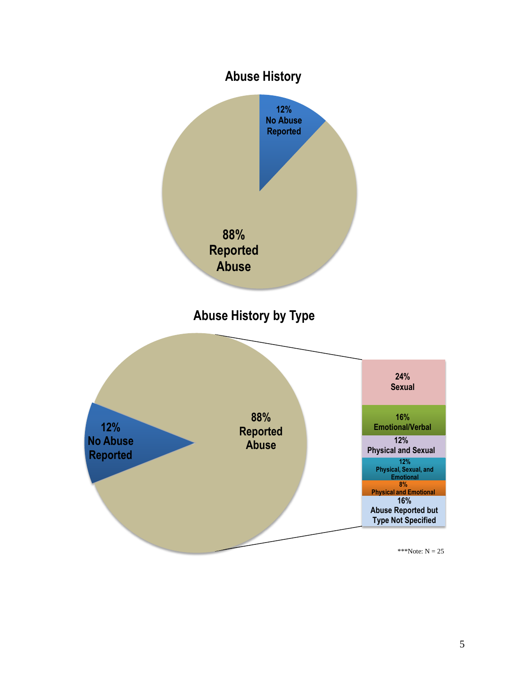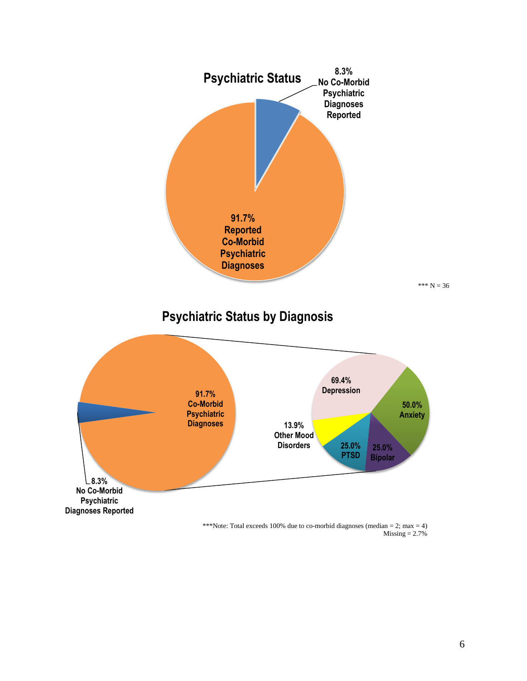

 $Missing = 2.7%$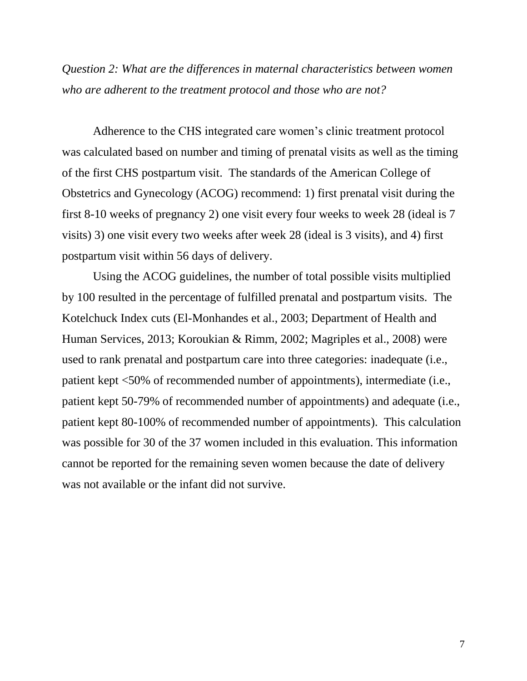*Question 2: What are the differences in maternal characteristics between women who are adherent to the treatment protocol and those who are not?*

Adherence to the CHS integrated care women's clinic treatment protocol was calculated based on number and timing of prenatal visits as well as the timing of the first CHS postpartum visit. The standards of the American College of Obstetrics and Gynecology (ACOG) recommend: 1) first prenatal visit during the first 8-10 weeks of pregnancy 2) one visit every four weeks to week 28 (ideal is 7 visits) 3) one visit every two weeks after week 28 (ideal is 3 visits), and 4) first postpartum visit within 56 days of delivery.

Using the ACOG guidelines, the number of total possible visits multiplied by 100 resulted in the percentage of fulfilled prenatal and postpartum visits. The Kotelchuck Index cuts (El-Monhandes et al., 2003; Department of Health and Human Services, 2013; Koroukian & Rimm, 2002; Magriples et al., 2008) were used to rank prenatal and postpartum care into three categories: inadequate (i.e., patient kept <50% of recommended number of appointments), intermediate (i.e., patient kept 50-79% of recommended number of appointments) and adequate (i.e., patient kept 80-100% of recommended number of appointments). This calculation was possible for 30 of the 37 women included in this evaluation. This information cannot be reported for the remaining seven women because the date of delivery was not available or the infant did not survive.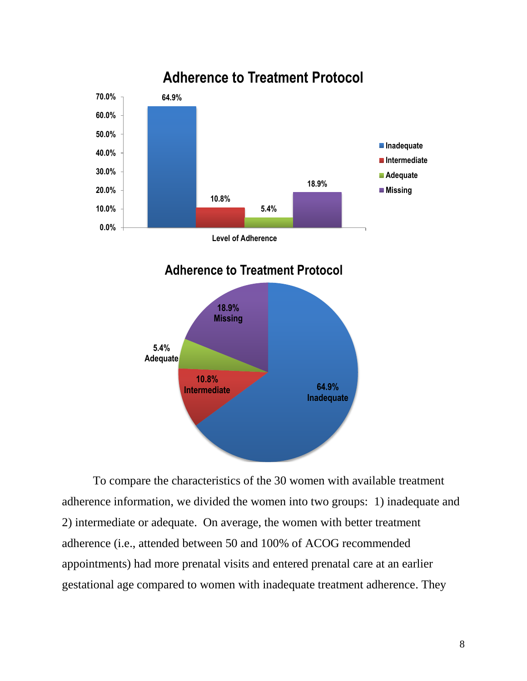

To compare the characteristics of the 30 women with available treatment adherence information, we divided the women into two groups: 1) inadequate and 2) intermediate or adequate. On average, the women with better treatment adherence (i.e., attended between 50 and 100% of ACOG recommended appointments) had more prenatal visits and entered prenatal care at an earlier gestational age compared to women with inadequate treatment adherence. They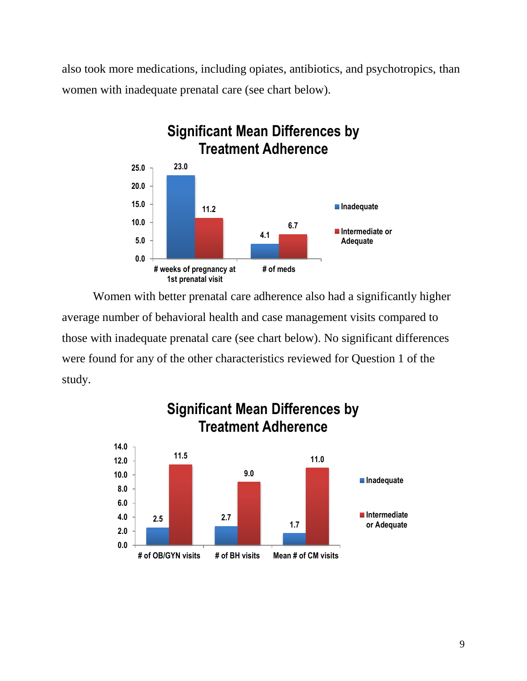also took more medications, including opiates, antibiotics, and psychotropics, than women with inadequate prenatal care (see chart below).



Women with better prenatal care adherence also had a significantly higher average number of behavioral health and case management visits compared to those with inadequate prenatal care (see chart below). No significant differences were found for any of the other characteristics reviewed for Question 1 of the study.

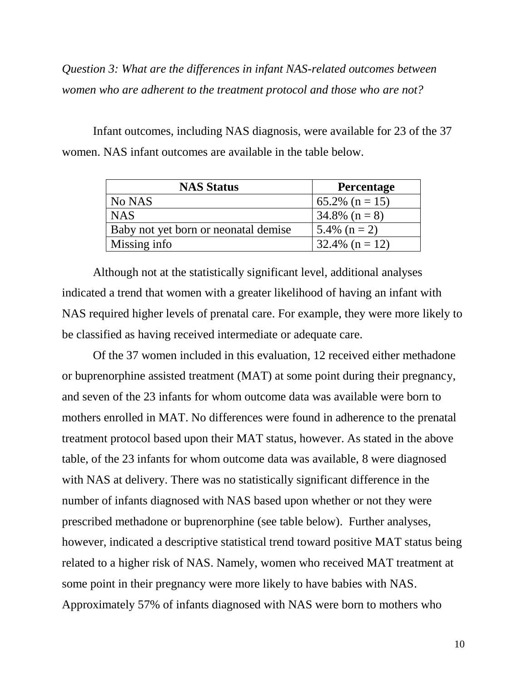*Question 3: What are the differences in infant NAS-related outcomes between women who are adherent to the treatment protocol and those who are not?*

Infant outcomes, including NAS diagnosis, were available for 23 of the 37 women. NAS infant outcomes are available in the table below.

| <b>NAS Status</b>                    | <b>Percentage</b>  |
|--------------------------------------|--------------------|
| No NAS                               | 65.2% ( $n = 15$ ) |
| <b>NAS</b>                           | $34.8\%$ (n = 8)   |
| Baby not yet born or neonatal demise | 5.4% $(n = 2)$     |
| Missing info                         | $32.4\%$ (n = 12)  |

Although not at the statistically significant level, additional analyses indicated a trend that women with a greater likelihood of having an infant with NAS required higher levels of prenatal care. For example, they were more likely to be classified as having received intermediate or adequate care.

Of the 37 women included in this evaluation, 12 received either methadone or buprenorphine assisted treatment (MAT) at some point during their pregnancy, and seven of the 23 infants for whom outcome data was available were born to mothers enrolled in MAT. No differences were found in adherence to the prenatal treatment protocol based upon their MAT status, however. As stated in the above table, of the 23 infants for whom outcome data was available, 8 were diagnosed with NAS at delivery. There was no statistically significant difference in the number of infants diagnosed with NAS based upon whether or not they were prescribed methadone or buprenorphine (see table below). Further analyses, however, indicated a descriptive statistical trend toward positive MAT status being related to a higher risk of NAS. Namely, women who received MAT treatment at some point in their pregnancy were more likely to have babies with NAS. Approximately 57% of infants diagnosed with NAS were born to mothers who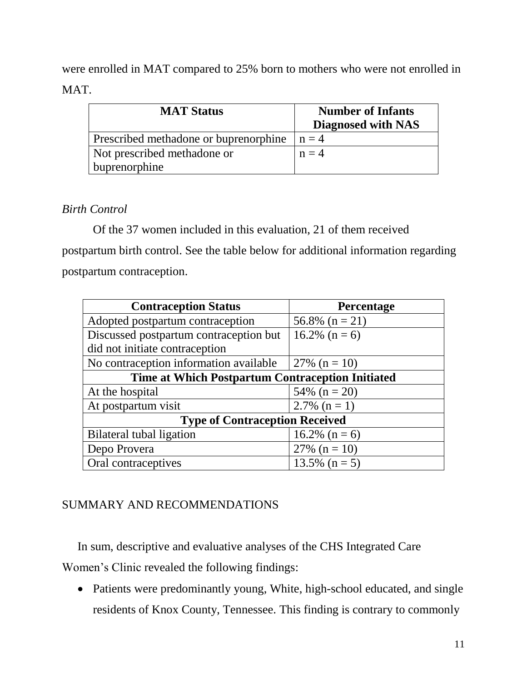were enrolled in MAT compared to 25% born to mothers who were not enrolled in MAT.

| <b>MAT Status</b>                     | <b>Number of Infants</b><br>Diagnosed with NAS |
|---------------------------------------|------------------------------------------------|
| Prescribed methadone or buprenorphine | $n = 4$                                        |
| Not prescribed methadone or           | $n = 4$                                        |
| buprenorphine                         |                                                |

## *Birth Control*

Of the 37 women included in this evaluation, 21 of them received postpartum birth control. See the table below for additional information regarding postpartum contraception.

| <b>Contraception Status</b>                      | <b>Percentage</b> |  |
|--------------------------------------------------|-------------------|--|
| Adopted postpartum contraception                 | 56.8% $(n = 21)$  |  |
| Discussed postpartum contraception but           | 16.2% $(n = 6)$   |  |
| did not initiate contraception                   |                   |  |
| No contraception information available           | 27% ( $n = 10$ )  |  |
| Time at Which Postpartum Contraception Initiated |                   |  |
| At the hospital                                  | 54% ( $n = 20$ )  |  |
| At postpartum visit                              | 2.7% $(n = 1)$    |  |
| <b>Type of Contraception Received</b>            |                   |  |
| Bilateral tubal ligation                         | 16.2% $(n = 6)$   |  |
| Depo Provera                                     | 27% ( $n = 10$ )  |  |
| Oral contraceptives                              | $13.5\%$ (n = 5)  |  |

# SUMMARY AND RECOMMENDATIONS

In sum, descriptive and evaluative analyses of the CHS Integrated Care Women's Clinic revealed the following findings:

 Patients were predominantly young, White, high-school educated, and single residents of Knox County, Tennessee. This finding is contrary to commonly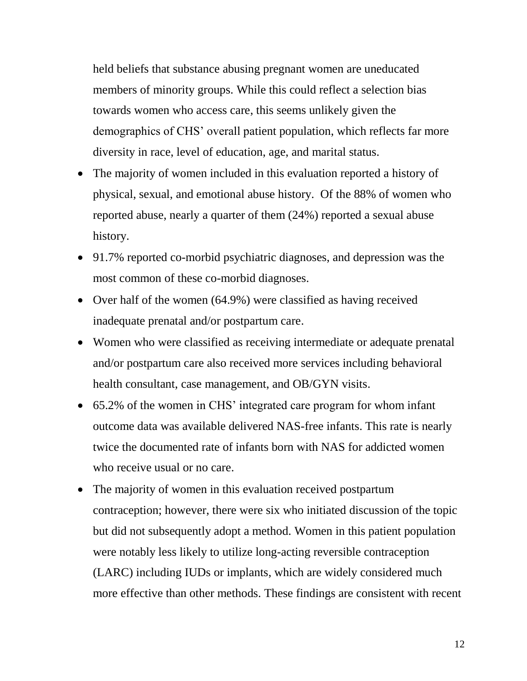held beliefs that substance abusing pregnant women are uneducated members of minority groups. While this could reflect a selection bias towards women who access care, this seems unlikely given the demographics of CHS' overall patient population, which reflects far more diversity in race, level of education, age, and marital status.

- The majority of women included in this evaluation reported a history of physical, sexual, and emotional abuse history. Of the 88% of women who reported abuse, nearly a quarter of them (24%) reported a sexual abuse history.
- 91.7% reported co-morbid psychiatric diagnoses, and depression was the most common of these co-morbid diagnoses.
- Over half of the women (64.9%) were classified as having received inadequate prenatal and/or postpartum care.
- Women who were classified as receiving intermediate or adequate prenatal and/or postpartum care also received more services including behavioral health consultant, case management, and OB/GYN visits.
- 65.2% of the women in CHS' integrated care program for whom infant outcome data was available delivered NAS-free infants. This rate is nearly twice the documented rate of infants born with NAS for addicted women who receive usual or no care.
- The majority of women in this evaluation received postpartum contraception; however, there were six who initiated discussion of the topic but did not subsequently adopt a method. Women in this patient population were notably less likely to utilize long-acting reversible contraception (LARC) including IUDs or implants, which are widely considered much more effective than other methods. These findings are consistent with recent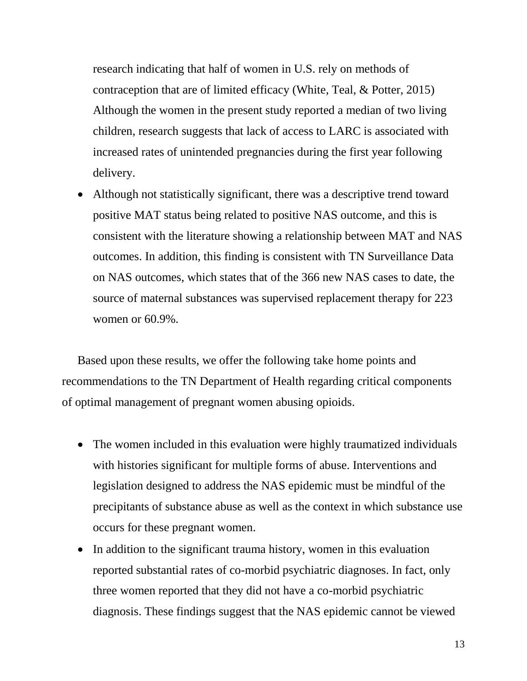research indicating that half of women in U.S. rely on methods of contraception that are of limited efficacy (White, Teal, & Potter, 2015) Although the women in the present study reported a median of two living children, research suggests that lack of access to LARC is associated with increased rates of unintended pregnancies during the first year following delivery.

 Although not statistically significant, there was a descriptive trend toward positive MAT status being related to positive NAS outcome, and this is consistent with the literature showing a relationship between MAT and NAS outcomes. In addition, this finding is consistent with TN Surveillance Data on NAS outcomes, which states that of the 366 new NAS cases to date, the source of maternal substances was supervised replacement therapy for 223 women or 60.9%.

Based upon these results, we offer the following take home points and recommendations to the TN Department of Health regarding critical components of optimal management of pregnant women abusing opioids.

- The women included in this evaluation were highly traumatized individuals with histories significant for multiple forms of abuse. Interventions and legislation designed to address the NAS epidemic must be mindful of the precipitants of substance abuse as well as the context in which substance use occurs for these pregnant women.
- In addition to the significant trauma history, women in this evaluation reported substantial rates of co-morbid psychiatric diagnoses. In fact, only three women reported that they did not have a co-morbid psychiatric diagnosis. These findings suggest that the NAS epidemic cannot be viewed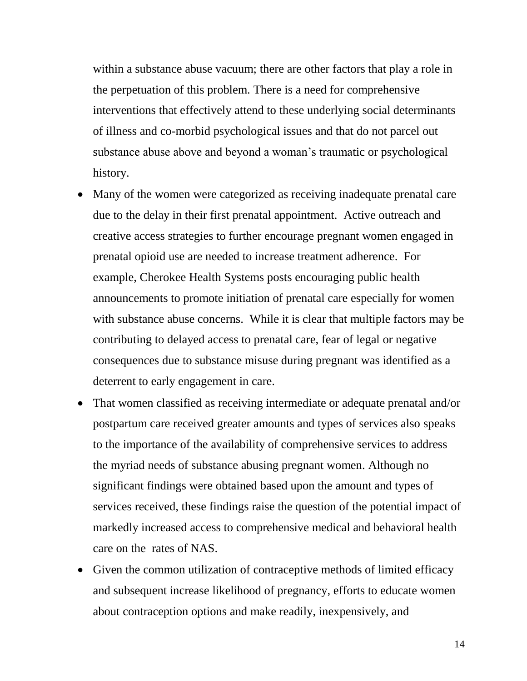within a substance abuse vacuum; there are other factors that play a role in the perpetuation of this problem. There is a need for comprehensive interventions that effectively attend to these underlying social determinants of illness and co-morbid psychological issues and that do not parcel out substance abuse above and beyond a woman's traumatic or psychological history.

- Many of the women were categorized as receiving inadequate prenatal care due to the delay in their first prenatal appointment. Active outreach and creative access strategies to further encourage pregnant women engaged in prenatal opioid use are needed to increase treatment adherence. For example, Cherokee Health Systems posts encouraging public health announcements to promote initiation of prenatal care especially for women with substance abuse concerns. While it is clear that multiple factors may be contributing to delayed access to prenatal care, fear of legal or negative consequences due to substance misuse during pregnant was identified as a deterrent to early engagement in care.
- That women classified as receiving intermediate or adequate prenatal and/or postpartum care received greater amounts and types of services also speaks to the importance of the availability of comprehensive services to address the myriad needs of substance abusing pregnant women. Although no significant findings were obtained based upon the amount and types of services received, these findings raise the question of the potential impact of markedly increased access to comprehensive medical and behavioral health care on the rates of NAS.
- Given the common utilization of contraceptive methods of limited efficacy and subsequent increase likelihood of pregnancy, efforts to educate women about contraception options and make readily, inexpensively, and

14